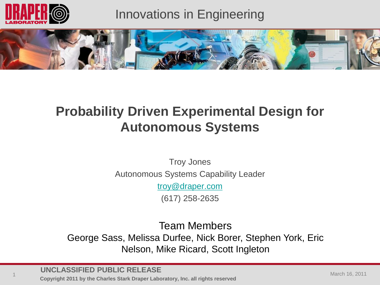

### Innovations in Engineering



## **Probability Driven Experimental Design for Autonomous Systems**

Troy Jones Autonomous Systems Capability Leader

[troy@draper.com](mailto:troy@draper.com)

(617) 258-2635

Team Members

George Sass, Melissa Durfee, Nick Borer, Stephen York, Eric Nelson, Mike Ricard, Scott Ingleton

**UNCLASSIFIED PUBLIC RELEASE**

**Copyright 2011 by the Charles Stark Draper Laboratory, Inc. all rights reserved**<br>
1 Copyright 2011 by the Charles Stark Draper Laboratory, Inc. all rights reserved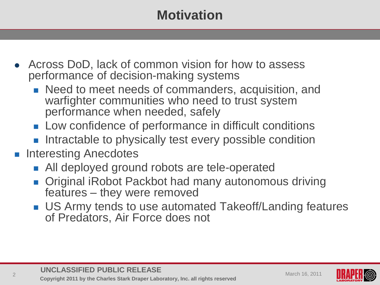# **Motivation**

- Across DoD, lack of common vision for how to assess performance of decision-making systems
	- **Need to meet needs of commanders, acquisition, and** warfighter communities who need to trust system performance when needed, safely
	- **Low confidence of performance in difficult conditions**
	- **Intractable to physically test every possible condition**
- **Interesting Anecdotes** 
	- All deployed ground robots are tele-operated
	- Original iRobot Packbot had many autonomous driving features – they were removed
	- US Army tends to use automated Takeoff/Landing features of Predators, Air Force does not

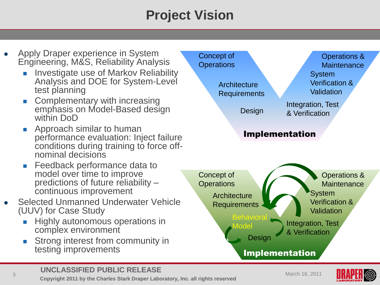# **Project Vision**

- Apply Draper experience in System Engineering, M&S, Reliability Analysis
	- Investigate use of Markov Reliability Analysis and DOE for System-Level test planning
	- Complementary with increasing emphasis on Model-Based design within DoD
	- **Approach similar to human** performance evaluation: Inject failure conditions during training to force offnominal decisions
	- **Feedback performance data to** model over time to improve predictions of future reliability – continuous improvement
- Selected Unmanned Underwater Vehicle (UUV) for Case Study
	- **Highly autonomous operations in** complex environment
	- **Strong interest from community in** testing improvements



### **UNCLASSIFIED PUBLIC RELEASE**

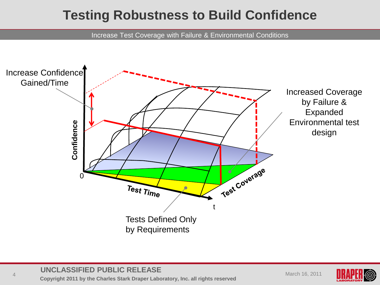### **Testing Robustness to Build Confidence**

Increase Test Coverage with Failure & Environmental Conditions



#### **UNCLASSIFIED PUBLIC RELEASE**

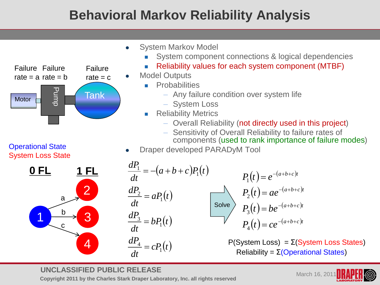## **Behavioral Markov Reliability Analysis**



Operational State

- System Markov Model
	- System component connections & logical dependencies
	- Reliability values for each system component (MTBF)
	- Model Outputs
		- **Probabilities** 
			- Any failure condition over system life
			- System Loss
		- **Reliability Metrics** 
			- Overall Reliability (not directly used in this project)
			- Sensitivity of Overall Reliability to failure rates of components (used to rank importance of failure modes)
- Draper developed PARADyM Tool



$$
\frac{dP_1}{dt} = -(a+b+c)P_1(t)
$$
\n
$$
\frac{dP_2}{dt} = aP_1(t)
$$
\n
$$
\frac{dP_3}{dt} = bP_1(t)
$$
\n
$$
\frac{dP_4}{dt} = cP_1(t)
$$
\n
$$
\frac{dP_5}{dt} = cP_1(t)
$$
\n
$$
\frac{dP_6}{dt} = cP_1(t)
$$
\n
$$
\frac{dP_7}{dt} = cP_1(t)
$$
\n
$$
\frac{dP_8}{dt} = cP_1(t)
$$
\n
$$
\frac{dP_9}{dt} = cP_{10}(t)
$$
\n
$$
\frac{dP_{10}}{dt} = cP_{11}(t)
$$
\n
$$
\frac{dP_{11}}{dt} = cP_{12}(t)
$$
\n
$$
\frac{dP_{12}}{dt} = cP_{13}(t)
$$
\n
$$
\frac{dP_{13}}{dt} = cP_{14}(t)
$$
\n
$$
\frac{dP_{14}}{dt} = cP_{15}(t)
$$
\n
$$
\frac{dP_{15}}{dt} = cP_{16}(t)
$$
\n
$$
\frac{dP_{16}}{dt} = cP_{17}(t)
$$
\n
$$
\frac{dP_{18}}{dt} = cP_{19}(t)
$$
\n
$$
\frac{dP_{19}}{dt} = cP_{10}(t)
$$
\n
$$
\frac{dP_{10}}{dt} = cP_{11}(t)
$$
\n
$$
\frac{dP_{10}}{dt} = cP_{11}(t)
$$
\n
$$
\frac{dP_{11}}{dt} = cP_{10}(t)
$$
\n
$$
\frac{dP_{12}}{dt} = cP_{11}(t)
$$
\n
$$
\frac{dP_{13}}{dt} = cP_{11}(t)
$$
\n
$$
\frac{dP_{14}}{dt} = cP_{12}(t)
$$
\n
$$
\frac{dP_{15}}{dt} = cP_{16}(t)
$$
\n
$$
\frac{dP_{16}}{dt} = cP_{17}(t)
$$
\n
$$
\frac{dP_{18}}{dt} = cP_{10}(t)
$$
\n
$$
\frac{dP_{1
$$

#### **UNCLASSIFIED PUBLIC RELEASE**

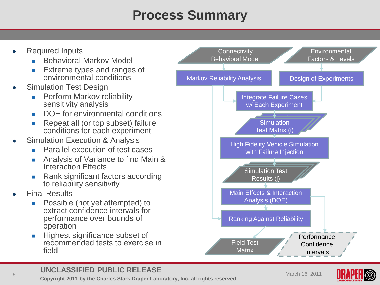# **Process Summary**

- Required Inputs
	- Behavioral Markov Model
	- **Extreme types and ranges of** environmental conditions
- Simulation Test Design
	- **Perform Markov reliability** sensitivity analysis
	- DOE for environmental conditions
	- Repeat all (or top subset) failure conditions for each experiment
- Simulation Execution & Analysis
	- Parallel execution of test cases
	- Analysis of Variance to find Main & Interaction Effects
	- Rank significant factors according to reliability sensitivity
- Final Results
	- **Possible (not yet attempted) to** extract confidence intervals for performance over bounds of operation
	- Highest significance subset of recommended tests to exercise in field



#### **UNCLASSIFIED PUBLIC RELEASE**

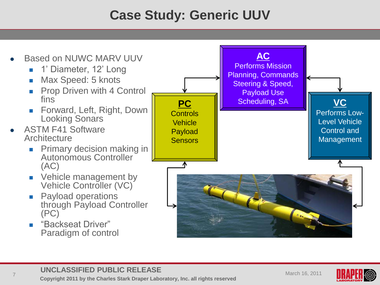# **Case Study: Generic UUV**



### **UNCLASSIFIED PUBLIC RELEASE**

**CONCEACON TED T COENT INEEEACE**<br> **Copyright 2011 by the Charles Stark Draper Laboratory, Inc. all rights reserved** 

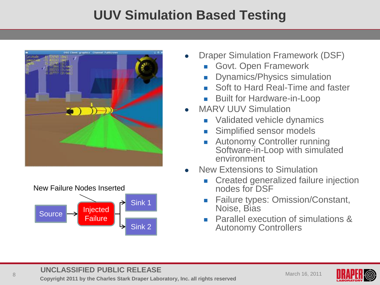# **UUV Simulation Based Testing**





- Draper Simulation Framework (DSF)
	- Govt. Open Framework
	- Dynamics/Physics simulation
	- Soft to Hard Real-Time and faster
	- Built for Hardware-in-Loop
- MARV ULIV Simulation
	- Validated vehicle dynamics
	- Simplified sensor models
	- Autonomy Controller running Software-in-Loop with simulated environment
- New Extensions to Simulation
	- Created generalized failure injection nodes for DSF
	- Failure types: Omission/Constant, Noise, Bias
	- Parallel execution of simulations & Autonomy Controllers

### **UNCLASSIFIED PUBLIC RELEASE**

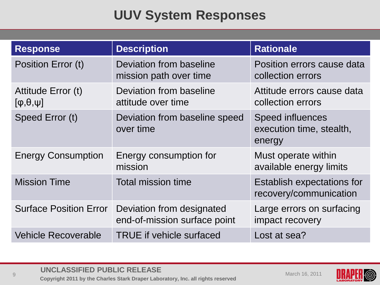# **UUV System Responses**

| <b>Response</b>                              | <b>Description</b>                                        | <b>Rationale</b>                                              |
|----------------------------------------------|-----------------------------------------------------------|---------------------------------------------------------------|
| Position Error (t)                           | Deviation from baseline<br>mission path over time         | Position errors cause data<br>collection errors               |
| Attitude Error (t)<br>$[\phi, \theta, \psi]$ | Deviation from baseline<br>attitude over time             | Attitude errors cause data<br>collection errors               |
| Speed Error (t)                              | Deviation from baseline speed<br>over time                | <b>Speed influences</b><br>execution time, stealth,<br>energy |
| <b>Energy Consumption</b>                    | Energy consumption for<br>mission                         | Must operate within<br>available energy limits                |
| <b>Mission Time</b>                          | <b>Total mission time</b>                                 | Establish expectations for<br>recovery/communication          |
| <b>Surface Position Error</b>                | Deviation from designated<br>end-of-mission surface point | Large errors on surfacing<br>impact recovery                  |
| <b>Vehicle Recoverable</b>                   | <b>TRUE</b> if vehicle surfaced                           | Lost at sea?                                                  |

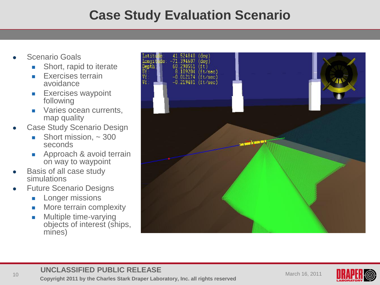### **Case Study Evaluation Scenario**

- Scenario Goals
	- **Short, rapid to iterate**
	- **Exercises terrain** avoidance
	- **Exercises waypoint** following
	- **varies ocean currents,** map quality
- Case Study Scenario Design
	- Short mission,  $\sim$  300 seconds
	- **Approach & avoid terrain** on way to waypoint
- Basis of all case study simulations
- Future Scenario Designs
	- **Longer missions**
	- **Nore terrain complexity**
	- **Multiple time-varying** objects of interest (ships, mines)



### **UNCLASSIFIED PUBLIC RELEASE**

**Copyright 2011 by the Charles Stark Draper Laboratory, Inc. all rights reserved** March 16, 2011<br>
10 March 16, 2011 **Copyright 2011 by the Charles Stark Draper Laboratory, Inc. all rights reserved** 

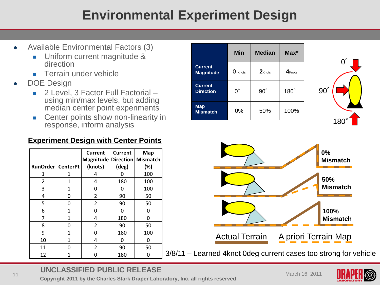## **Environmental Experiment Design**

- Available Environmental Factors (3)
	- **Uniform current magnitude &** direction
	- **Terrain under vehicle**
- DOE Design
	- 2 Level, 3 Factor Full Factorial using min/max levels, but adding median center point experiments
	- **EXEC** Center points show non-linearity in response, inform analysis

### **Experiment Design with Center Points**

| <b>RunOrder   CenterPt</b> |   | Current<br>Magnitude Direction   Mismatch<br>(knots) | <b>Current</b><br>$(\text{deg})$ | <b>Map</b><br>$(\%)$ |
|----------------------------|---|------------------------------------------------------|----------------------------------|----------------------|
| 1                          | 1 | 4                                                    | ი                                | 100                  |
| 2                          | 1 | 4                                                    | 180                              | 100                  |
| 3                          | 1 | 0                                                    | 0                                | 100                  |
| 4                          | 0 | 2                                                    | 90                               | 50                   |
| 5                          | ი | 2                                                    | 90                               | 50                   |
| 6                          | 1 | O                                                    | O                                | O                    |
| 7                          | 1 | 4                                                    | 180                              | 0                    |
| 8                          | ი | 2                                                    | 90                               | 50                   |
| 9                          | 1 | ი                                                    | 180                              | 100                  |
| 10                         | 1 | 4                                                    | ი                                | ი                    |
| 11                         | O | 2                                                    | 90                               | 50                   |
| 12                         |   |                                                      | 180                              |                      |

|                                    | <b>Min</b>     | <b>Median</b> | $Max^*$              |
|------------------------------------|----------------|---------------|----------------------|
| <b>Current</b><br><b>Magnitude</b> | $\Omega$ Knots | $2K$ nots     | $4$ <sub>Knots</sub> |
| <b>Current</b><br><b>Direction</b> | ი°             | $90^\circ$    | $180^\circ$          |
| <b>Map</b><br><b>Mismatch</b>      | 0%             | 50%           | 100%                 |





3/8/11 – Learned 4knot 0deg current cases too strong for vehicle

### **UNCLASSIFIED PUBLIC RELEASE**

**Copyright 2011 by the Charles Stark Draper Laboratory, Inc. all rights reserved** March 16, 2011<br>
11 March 16, 2011 **Copyright 2011 by the Charles Stark Draper Laboratory, Inc. all rights reserved** 

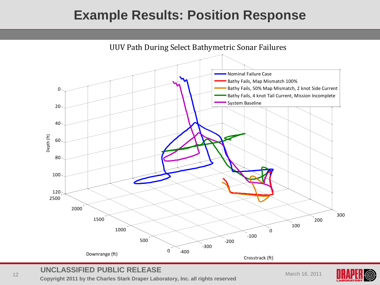### **Example Results: Position Response**



#### **UNCLASSIFIED PUBLIC RELEASE**

**Copyright 2011 by the Charles Stark Draper Laboratory, Inc. all rights reserved** March 16, 2011<br>
12 March 16, 2011

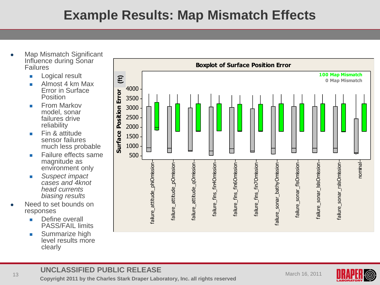## **Example Results: Map Mismatch Effects**

- Map Mismatch Significant Influence during Sonar Failures
	- **Logical result**
	- Almost 4 km Max Error in Surface Position
	- $F$ From Markov model, sonar failures drive reliability
	- **Fin & attitude** sensor failures much less probable
	- **Failure effects same** magnitude as environment only
	- *Suspect impact cases and 4knot head currents biasing results*
- Need to set bounds on responses
	- **Define overall** PASS/FAIL limits
	- **Summarize high** level results more clearly



#### **UNCLASSIFIED PUBLIC RELEASE**

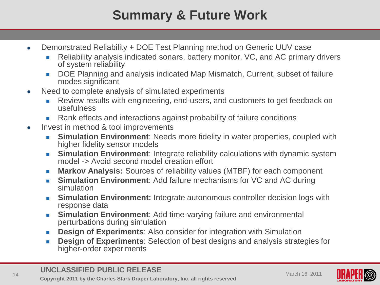# **Summary & Future Work**

- Demonstrated Reliability + DOE Test Planning method on Generic UUV case
	- Reliability analysis indicated sonars, battery monitor, VC, and AC primary drivers of system reliability
	- DOE Planning and analysis indicated Map Mismatch, Current, subset of failure modes significant
- Need to complete analysis of simulated experiments
	- **Review results with engineering, end-users, and customers to get feedback on** usefulness
	- Rank effects and interactions against probability of failure conditions
- Invest in method & tool improvements
	- **Simulation Environment:** Needs more fidelity in water properties, coupled with higher fidelity sensor models
	- **Simulation Environment:** Integrate reliability calculations with dynamic system model -> Avoid second model creation effort
	- **Markov Analysis:** Sources of reliability values (MTBF) for each component
	- **Simulation Environment:** Add failure mechanisms for VC and AC during simulation
	- **Simulation Environment:** Integrate autonomous controller decision logs with response data
	- **Simulation Environment:** Add time-varying failure and environmental perturbations during simulation
	- **Design of Experiments:** Also consider for integration with Simulation
	- **Design of Experiments**: Selection of best designs and analysis strategies for higher-order experiments

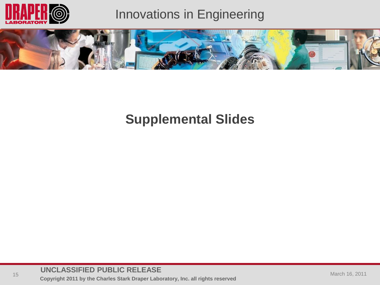

### Innovations in Engineering



### **Supplemental Slides**

### **UNCLASSIFIED PUBLIC RELEASE**

**Copyright 2011 by the Charles Stark Draper Laboratory, Inc. all rights reserved**<br> **Copyright 2011 by the Charles Stark Draper Laboratory, Inc. all rights reserved**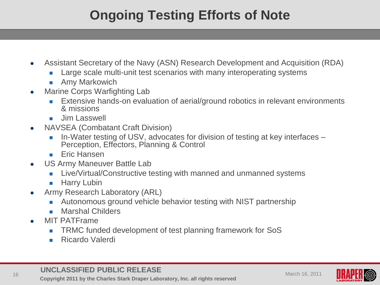# **Ongoing Testing Efforts of Note**

- Assistant Secretary of the Navy (ASN) Research Development and Acquisition (RDA)
	- Large scale multi-unit test scenarios with many interoperating systems
	- **Amy Markowich**
- Marine Corps Warfighting Lab
	- Extensive hands-on evaluation of aerial/ground robotics in relevant environments & missions
	- **Jim Lasswell**
- NAVSEA (Combatant Craft Division)
	- In-Water testing of USV, advocates for division of testing at key interfaces Perception, Effectors, Planning & Control
	- **Eric Hansen**
- US Army Maneuver Battle Lab
	- **Live/Virtual/Constructive testing with manned and unmanned systems**
	- **Harry Lubin**
- Army Research Laboratory (ARL)
	- Autonomous ground vehicle behavior testing with NIST partnership
	- **Marshal Childers**
- MIT PATFrame
	- TRMC funded development of test planning framework for SoS
	- **Ricardo Valerdi**

#### **UNCLASSIFIED PUBLIC RELEASE**

**Copyright 2011 by the Charles Stark Draper Laboratory, Inc. all rights reserved** March 16, 2011<br>
16 March 16, 2011 **Copyright 2011 by the Charles Stark Draper Laboratory, Inc. all rights reserved** 

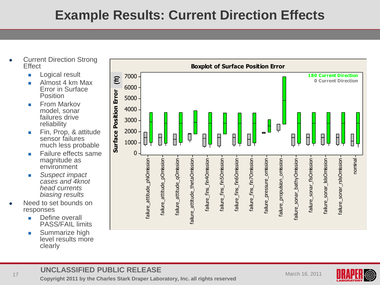## **Example Results: Current Direction Effects**

- Current Direction Strong **Fffect** 
	- **Logical result**
	- **Almost 4 km Max** Error in Surface Position
	- **From Markov** model, sonar failures drive reliability
	- **Fin, Prop, & attitude** sensor failures much less probable
	- **Failure effects same** magnitude as environment
	- *Suspect impact cases and 4knot head currents biasing results*
- Need to set bounds on responses
	- **Define overall** PASS/FAIL limits
	- **Summarize high** level results more clearly



### **UNCLASSIFIED PUBLIC RELEASE**